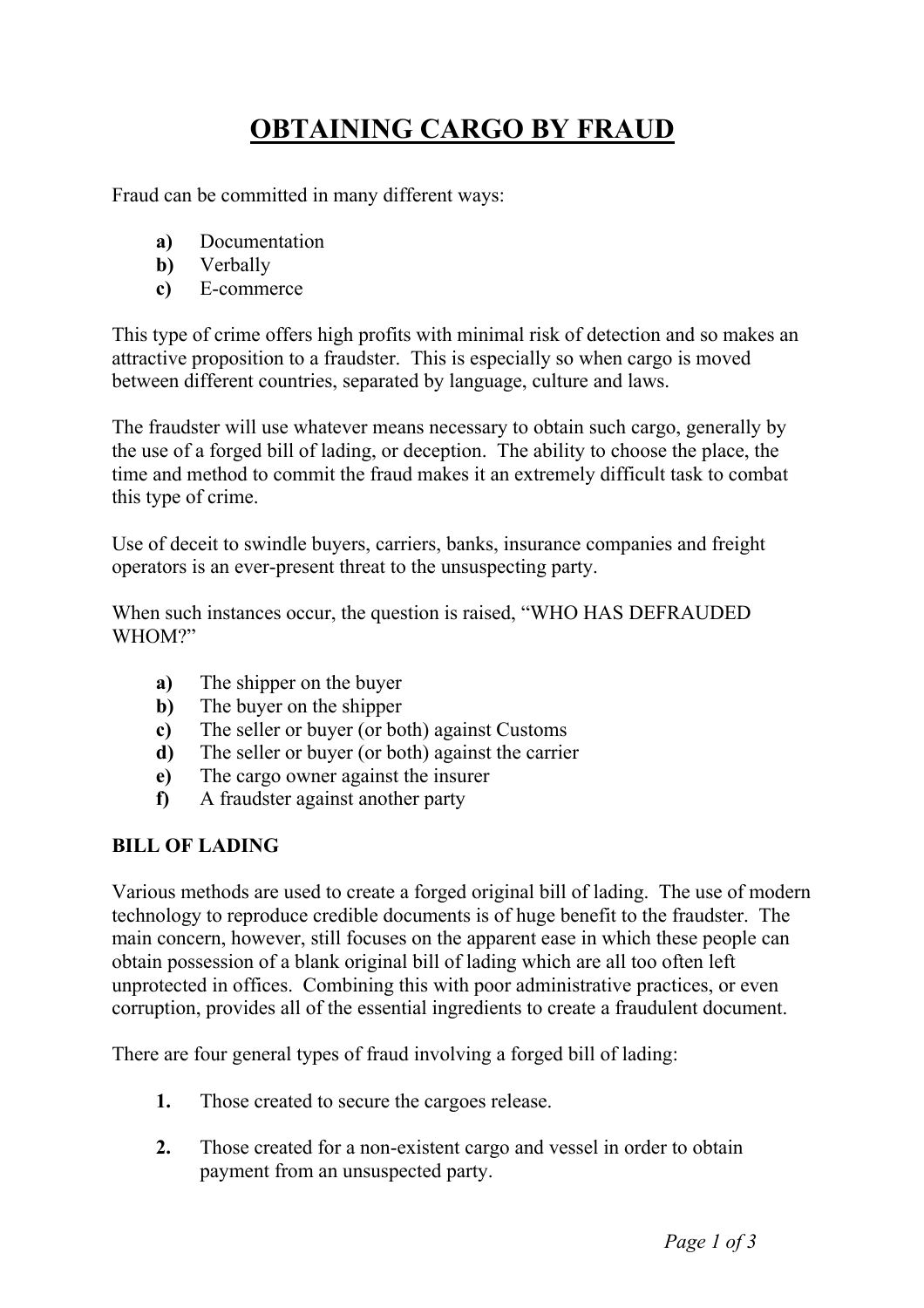## **OBTAINING CARGO BY FRAUD**

Fraud can be committed in many different ways:

- **a)** Documentation
- **b)** Verbally
- **c)** E-commerce

This type of crime offers high profits with minimal risk of detection and so makes an attractive proposition to a fraudster. This is especially so when cargo is moved between different countries, separated by language, culture and laws.

The fraudster will use whatever means necessary to obtain such cargo, generally by the use of a forged bill of lading, or deception. The ability to choose the place, the time and method to commit the fraud makes it an extremely difficult task to combat this type of crime.

Use of deceit to swindle buyers, carriers, banks, insurance companies and freight operators is an ever-present threat to the unsuspecting party.

When such instances occur, the question is raised, "WHO HAS DEFRAUDED WHOM?"

- **a)** The shipper on the buyer
- **b)** The buyer on the shipper
- **c)** The seller or buyer (or both) against Customs
- **d)** The seller or buyer (or both) against the carrier
- **e)** The cargo owner against the insurer
- **f)** A fraudster against another party

## **BILL OF LADING**

Various methods are used to create a forged original bill of lading. The use of modern technology to reproduce credible documents is of huge benefit to the fraudster. The main concern, however, still focuses on the apparent ease in which these people can obtain possession of a blank original bill of lading which are all too often left unprotected in offices. Combining this with poor administrative practices, or even corruption, provides all of the essential ingredients to create a fraudulent document.

There are four general types of fraud involving a forged bill of lading:

- **1.** Those created to secure the cargoes release.
- **2.** Those created for a non-existent cargo and vessel in order to obtain payment from an unsuspected party.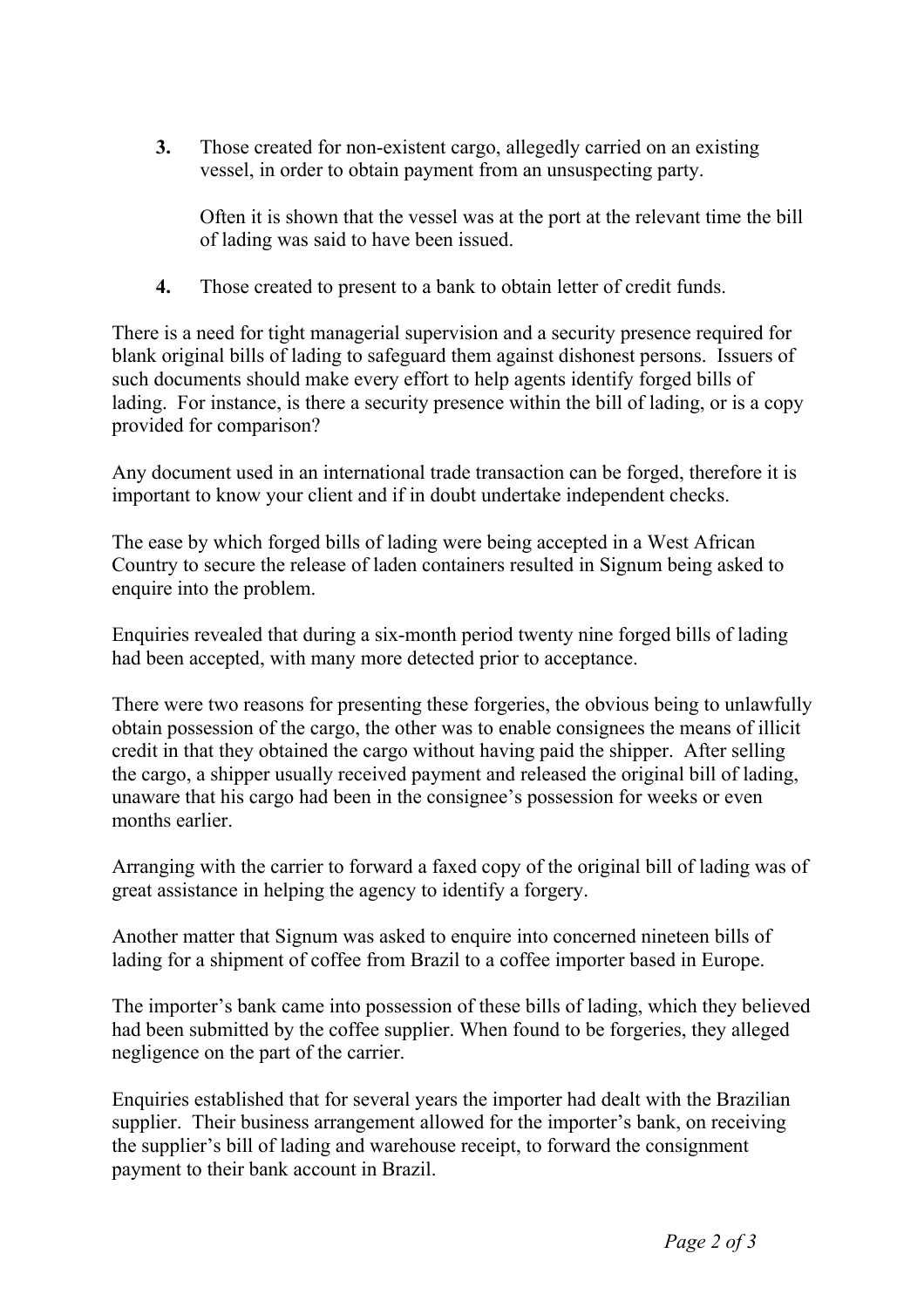**3.** Those created for non-existent cargo, allegedly carried on an existing vessel, in order to obtain payment from an unsuspecting party.

Often it is shown that the vessel was at the port at the relevant time the bill of lading was said to have been issued.

**4.** Those created to present to a bank to obtain letter of credit funds.

There is a need for tight managerial supervision and a security presence required for blank original bills of lading to safeguard them against dishonest persons. Issuers of such documents should make every effort to help agents identify forged bills of lading. For instance, is there a security presence within the bill of lading, or is a copy provided for comparison?

Any document used in an international trade transaction can be forged, therefore it is important to know your client and if in doubt undertake independent checks.

The ease by which forged bills of lading were being accepted in a West African Country to secure the release of laden containers resulted in Signum being asked to enquire into the problem.

Enquiries revealed that during a six-month period twenty nine forged bills of lading had been accepted, with many more detected prior to acceptance.

There were two reasons for presenting these forgeries, the obvious being to unlawfully obtain possession of the cargo, the other was to enable consignees the means of illicit credit in that they obtained the cargo without having paid the shipper. After selling the cargo, a shipper usually received payment and released the original bill of lading, unaware that his cargo had been in the consignee's possession for weeks or even months earlier.

Arranging with the carrier to forward a faxed copy of the original bill of lading was of great assistance in helping the agency to identify a forgery.

Another matter that Signum was asked to enquire into concerned nineteen bills of lading for a shipment of coffee from Brazil to a coffee importer based in Europe.

The importer's bank came into possession of these bills of lading, which they believed had been submitted by the coffee supplier. When found to be forgeries, they alleged negligence on the part of the carrier.

Enquiries established that for several years the importer had dealt with the Brazilian supplier. Their business arrangement allowed for the importer's bank, on receiving the supplier's bill of lading and warehouse receipt, to forward the consignment payment to their bank account in Brazil.